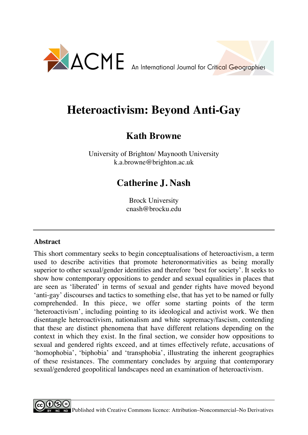

# **Heteroactivism: Beyond Anti-Gay**

# **Kath Browne**

University of Brighton/ Maynooth University k.a.browne@brighton.ac.uk

# **Catherine J. Nash**

Brock University cnash@brocku.edu

# **Abstract**

This short commentary seeks to begin conceptualisations of heteroactivism, a term used to describe activities that promote heteronormativities as being morally superior to other sexual/gender identities and therefore 'best for society'. It seeks to show how contemporary oppositions to gender and sexual equalities in places that are seen as 'liberated' in terms of sexual and gender rights have moved beyond 'anti-gay' discourses and tactics to something else, that has yet to be named or fully comprehended. In this piece, we offer some starting points of the term 'heteroactivism', including pointing to its ideological and activist work. We then disentangle heteroactivism, nationalism and white supremacy/fascism, contending that these are distinct phenomena that have different relations depending on the context in which they exist. In the final section, we consider how oppositions to sexual and gendered rights exceed, and at times effectively refute, accusations of 'homophobia', 'biphobia' and 'transphobia', illustrating the inherent geographies of these resistances. The commentary concludes by arguing that contemporary sexual/gendered geopolitical landscapes need an examination of heteroactivism.

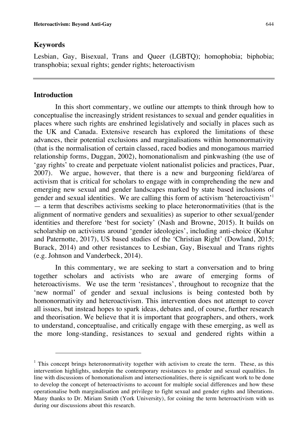#### **Keywords**

Lesbian, Gay, Bisexual, Trans and Queer (LGBTQ); homophobia; biphobia; transphobia; sexual rights; gender rights; heteroactivism

## **Introduction**

 $\overline{a}$ 

In this short commentary, we outline our attempts to think through how to conceptualise the increasingly strident resistances to sexual and gender equalities in places where such rights are enshrined legislatively and socially in places such as the UK and Canada. Extensive research has explored the limitations of these advances, their potential exclusions and marginalisations within homonormativity (that is the normalisation of certain classed, raced bodies and monogamous married relationship forms, Duggan, 2002), homonationalism and pinkwashing (the use of 'gay rights' to create and perpetuate violent nationalist policies and practices, Puar, 2007). We argue, however, that there is a new and burgeoning field/area of activism that is critical for scholars to engage with in comprehending the new and emerging new sexual and gender landscapes marked by state based inclusions of gender and sexual identities. We are calling this form of activism 'heteroactivism'<sup>1</sup> — a term that describes activisms seeking to place heteronormativities (that is the alignment of normative genders and sexualities) as superior to other sexual/gender identities and therefore 'best for society' (Nash and Browne, 2015). It builds on scholarship on activisms around 'gender ideologies', including anti-choice (Kuhar and Paternotte, 2017), US based studies of the 'Christian Right' (Dowland, 2015; Burack, 2014) and other resistances to Lesbian, Gay, Bisexual and Trans rights (e.g. Johnson and Vanderbeck, 2014).

In this commentary, we are seeking to start a conversation and to bring together scholars and activists who are aware of emerging forms of heteroactivisms. We use the term 'resistances', throughout to recognize that the 'new normal' of gender and sexual inclusions is being contested both by homonormativity and heteroactivism. This intervention does not attempt to cover all issues, but instead hopes to spark ideas, debates and, of course, further research and theorisation. We believe that it is important that geographers, and others, work to understand, conceptualise, and critically engage with these emerging, as well as the more long-standing, resistances to sexual and gendered rights within a

<sup>&</sup>lt;sup>1</sup> This concept brings heteronormativity together with activism to create the term. These, as this intervention highlights, underpin the contemporary resistances to gender and sexual equalities. In line with discussions of homonationalism and intersectionalities, there is significant work to be done to develop the concept of heteroactivisms to account for multiple social differences and how these operationalise both marginalisation and privilege to fight sexual and gender rights and liberations. Many thanks to Dr. Miriam Smith (York University), for coining the term heteroactivism with us during our discussions about this research.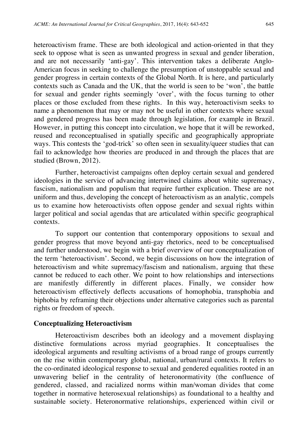heteroactivism frame. These are both ideological and action-oriented in that they seek to oppose what is seen as unwanted progress in sexual and gender liberation, and are not necessarily 'anti-gay'. This intervention takes a deliberate Anglo-American focus in seeking to challenge the presumption of unstoppable sexual and gender progress in certain contexts of the Global North. It is here, and particularly contexts such as Canada and the UK, that the world is seen to be 'won', the battle for sexual and gender rights seemingly 'over', with the focus turning to other places or those excluded from these rights. In this way, heteroactivism seeks to name a phenomenon that may or may not be useful in other contexts where sexual and gendered progress has been made through legislation, for example in Brazil. However, in putting this concept into circulation, we hope that it will be reworked, reused and reconceptualised in spatially specific and geographically appropriate ways. This contests the 'god-trick' so often seen in sexuality/queer studies that can fail to acknowledge how theories are produced in and through the places that are studied (Brown, 2012).

Further, heteroactivist campaigns often deploy certain sexual and gendered ideologies in the service of advancing intertwined claims about white supremacy, fascism, nationalism and populism that require further explication. These are not uniform and thus, developing the concept of heteroactivism as an analytic, compels us to examine how heteroactivists often oppose gender and sexual rights within larger political and social agendas that are articulated within specific geographical contexts.

To support our contention that contemporary oppositions to sexual and gender progress that move beyond anti-gay rhetorics, need to be conceptualised and further understood, we begin with a brief overview of our conceptualization of the term 'heteroactivism'. Second, we begin discussions on how the integration of heteroactivism and white supremacy/fascism and nationalism, arguing that these cannot be reduced to each other. We point to how relationships and intersections are manifestly differently in different places. Finally, we consider how heteroactivism effectively deflects accusations of homophobia, transphobia and biphobia by reframing their objections under alternative categories such as parental rights or freedom of speech.

#### **Conceptualizing Heteroactivism**

Heteroactivism describes both an ideology and a movement displaying distinctive formulations across myriad geographies. It conceptualises the ideological arguments and resulting activisms of a broad range of groups currently on the rise within contemporary global, national, urban/rural contexts. It refers to the co-ordinated ideological response to sexual and gendered equalities rooted in an unwavering belief in the centrality of heteronormativity (the confluence of gendered, classed, and racialized norms within man/woman divides that come together in normative heterosexual relationships) as foundational to a healthy and sustainable society. Heteronormative relationships, experienced within civil or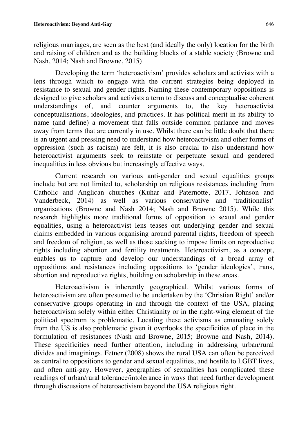religious marriages, are seen as the best (and ideally the only) location for the birth and raising of children and as the building blocks of a stable society (Browne and Nash, 2014; Nash and Browne, 2015).

Developing the term 'heteroactivism' provides scholars and activists with a lens through which to engage with the current strategies being deployed in resistance to sexual and gender rights. Naming these contemporary oppositions is designed to give scholars and activists a term to discuss and conceptualise coherent understandings of, and counter arguments to, the key heteroactivist conceptualisations, ideologies, and practices. It has political merit in its ability to name (and define) a movement that falls outside common parlance and moves away from terms that are currently in use. Whilst there can be little doubt that there is an urgent and pressing need to understand how heteroactivism and other forms of oppression (such as racism) are felt, it is also crucial to also understand how heteroactivist arguments seek to reinstate or perpetuate sexual and gendered inequalities in less obvious but increasingly effective ways.

Current research on various anti-gender and sexual equalities groups include but are not limited to, scholarship on religious resistances including from Catholic and Anglican churches (Kuhar and Paternotte, 2017, Johnson and Vanderbeck, 2014) as well as various conservative and 'traditionalist' organisations (Browne and Nash 2014; Nash and Browne 2015). While this research highlights more traditional forms of opposition to sexual and gender equalities, using a heteroactivist lens teases out underlying gender and sexual claims embedded in various organising around parental rights, freedom of speech and freedom of religion, as well as those seeking to impose limits on reproductive rights including abortion and fertility treatments. Heteroactivism, as a concept, enables us to capture and develop our understandings of a broad array of oppositions and resistances including oppositions to 'gender ideologies', trans, abortion and reproductive rights, building on scholarship in these areas.

Heteroactivism is inherently geographical. Whilst various forms of heteroactivism are often presumed to be undertaken by the 'Christian Right' and/or conservative groups operating in and through the context of the USA, placing heteroactivism solely within either Christianity or in the right-wing element of the political spectrum is problematic. Locating these activisms as emanating solely from the US is also problematic given it overlooks the specificities of place in the formulation of resistances (Nash and Browne, 2015; Browne and Nash, 2014). These specificities need further attention, including in addressing urban/rural divides and imaginings. Fetner (2008) shows the rural USA can often be perceived as central to oppositions to gender and sexual equalities, and hostile to LGBT lives, and often anti-gay. However, geographies of sexualities has complicated these readings of urban/rural tolerance/intolerance in ways that need further development through discussions of heteroactivism beyond the USA religious right.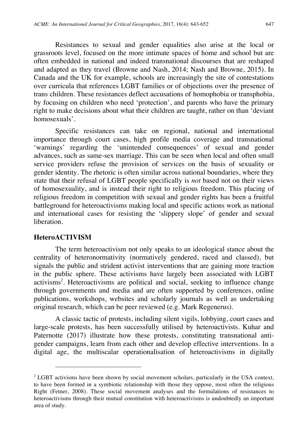Resistances to sexual and gender equalities also arise at the local or grassroots level, focused on the more intimate spaces of home and school but are often embedded in national and indeed transnational discourses that are reshaped and adapted as they travel (Browne and Nash, 2014; Nash and Browne, 2015). In Canada and the UK for example, schools are increasingly the site of contestations over curricula that references LGBT families or of objections over the presence of trans children. These resistances deflect accusations of homophobia or transphobia, by focusing on children who need 'protection', and parents who have the primary right to make decisions about what their children are taught, rather on than 'deviant homosexuals'.

Specific resistances can take on regional, national and international importance through court cases, high profile media coverage and transnational 'warnings' regarding the 'unintended consequences' of sexual and gender advances, such as same-sex marriage. This can be seen when local and often small service providers refuse the provision of services on the basis of sexuality or gender identity. The rhetoric is often similar across national boundaries, where they state that their refusal of LGBT people specifically is *not* based not on their views of homosexuality, and is instead their right to religious freedom. This placing of religious freedom in competition with sexual and gender rights has been a fruitful battleground for heteroactivisms making local and specific actions work as national and international cases for resisting the 'slippery slope' of gender and sexual liberation.

## **HeteroACTIVISM**

 $\overline{a}$ 

The term heteroactivism not only speaks to an ideological stance about the centrality of heteronormativity (normatively gendered, raced and classed), but signals the public and strident activist interventions that are gaining more traction in the public sphere. These activisms have largely been associated with LGBT activisms<sup>2</sup>. Heteroactivisms are political and social, seeking to influence change through governments and media and are often supported by conferences, online publications, workshops, websites and scholarly journals as well as undertaking original research, which can be peer reviewed (e.g. Mark Regenerus).

A classic tactic of protests, including silent vigils, lobbying, court cases and large-scale protests, has been successfully utilised by heteroactivists. Kuhar and Paternotte (2017) illustrate how these protests, constituting transnational antigender campaigns, learn from each other and develop effective interventions. In a digital age, the multiscalar operationalisation of heteroactivisms in digitally

 $2^2$  LGBT activisms have been shown by social movement scholars, particularly in the USA context, to have been formed in a symbiotic relationship with those they oppose, most often the religious Right (Fetner, 2008). These social movement analyses and the formulations of resistances to heteroactivisms through their mutual constitution with heteroactivisms is undoubtedly an important area of study.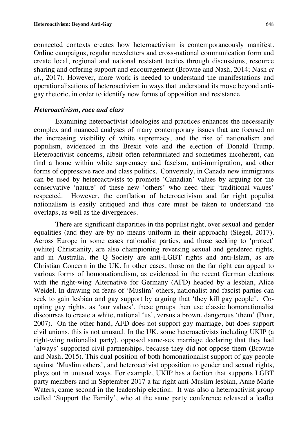connected contexts creates how heteroactivism is contemporaneously manifest. Online campaigns, regular newsletters and cross-national communication form and create local, regional and national resistant tactics through discussions, resource sharing and offering support and encouragement (Browne and Nash, 2014; Nash *et al*., 2017). However, more work is needed to understand the manifestations and operationalisations of heteroactivism in ways that understand its move beyond antigay rhetoric, in order to identify new forms of opposition and resistance.

#### *Heteroactivism, race and class*

Examining heteroactivist ideologies and practices enhances the necessarily complex and nuanced analyses of many contemporary issues that are focused on the increasing visibility of white supremacy, and the rise of nationalism and populism, evidenced in the Brexit vote and the election of Donald Trump. Heteroactivist concerns, albeit often reformulated and sometimes incoherent, can find a home within white supremacy and fascism, anti-immigration, and other forms of oppressive race and class politics. Conversely, in Canada new immigrants can be used by heteroactivists to promote 'Canadian' values by arguing for the conservative 'nature' of these new 'others' who need their 'traditional values' respected. However, the conflation of heteroactivism and far right populist nationalism is easily critiqued and thus care must be taken to understand the overlaps, as well as the divergences.

There are significant disparities in the populist right, over sexual and gender equalities (and they are by no means uniform in their approach) (Siegel, 2017). Across Europe in some cases nationalist parties, and those seeking to 'protect' (white) Christianity, are also championing reversing sexual and gendered rights, and in Australia, the Q Society are anti-LGBT rights and anti-Islam, as are Christian Concern in the UK. In other cases, those on the far right can appeal to various forms of homonationalism, as evidenced in the recent German elections with the right-wing Alternative for Germany (AFD) headed by a lesbian, Alice Weidel. In drawing on fears of 'Muslim' others, nationalist and fascist parties can seek to gain lesbian and gay support by arguing that 'they kill gay people'. Coopting gay rights, as 'our values', these groups then use classic homonationalist discourses to create a white, national 'us', versus a brown, dangerous 'them' (Puar, 2007). On the other hand, AFD does not support gay marriage, but does support civil unions, this is not unusual. In the UK, some heteroactivists including UKIP (a right-wing nationalist party), opposed same-sex marriage declaring that they had 'always' supported civil partnerships, because they did not oppose them (Browne and Nash, 2015). This dual position of both homonationalist support of gay people against 'Muslim others', and heteroactivist opposition to gender and sexual rights, plays out in unusual ways. For example, UKIP has a faction that supports LGBT party members and in September 2017 a far right anti-Muslim lesbian, Anne Marie Waters, came second in the leadership election. It was also a heteroactivist group called 'Support the Family', who at the same party conference released a leaflet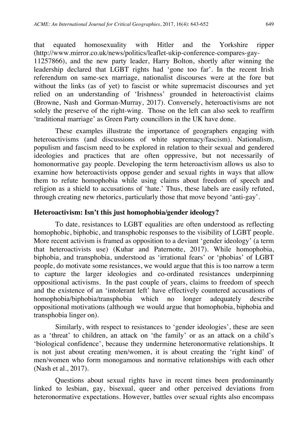that equated homosexuality with Hitler and the Yorkshire ripper (http://www.mirror.co.uk/news/politics/leaflet-ukip-conference-compares-gay-11257866), and the new party leader, Harry Bolton, shortly after winning the leadership declared that LGBT rights had 'gone too far'. In the recent Irish referendum on same-sex marriage, nationalist discourses were at the fore but without the links (as of yet) to fascist or white supremacist discourses and yet relied on an understanding of 'Irishness' grounded in heteroactivist claims (Browne, Nash and Gorman-Murray, 2017). Conversely, heteroactivisms are not solely the preserve of the right-wing. Those on the left can also seek to reaffirm 'traditional marriage' as Green Party councillors in the UK have done.

These examples illustrate the importance of geographers engaging with heteroactivisms (and discussions of white supremacy/fascism). Nationalism, populism and fascism need to be explored in relation to their sexual and gendered ideologies and practices that are often oppressive, but not necessarily of homonormative gay people. Developing the term heteroactivism allows us also to examine how heteroactivists oppose gender and sexual rights in ways that allow them to refute homophobia while using claims about freedom of speech and religion as a shield to accusations of 'hate.' Thus, these labels are easily refuted, through creating new rhetorics, particularly those that move beyond 'anti-gay'.

## **Heteroactivism: Isn't this just homophobia/gender ideology?**

To date, resistances to LGBT equalities are often understood as reflecting homophobic, biphobic, and transphobic responses to the visibility of LGBT people. More recent activism is framed as opposition to a deviant 'gender ideology' (a term that heteroactivists use) (Kuhar and Paternotte, 2017). While homophobia, biphobia, and transphobia, understood as 'irrational fears' or 'phobias' of LGBT people, do motivate some resistances, we would argue that this is too narrow a term to capture the larger ideologies and co-ordinated resistances underpinning oppositional activisms. In the past couple of years, claims to freedom of speech and the existence of an 'intolerant left' have effectively countered accusations of homophobia/biphobia/transphobia which no longer adequately describe oppositional motivations (although we would argue that homophobia, biphobia and transphobia linger on).

Similarly, with respect to resistances to 'gender ideologies', these are seen as a 'threat' to children, an attack on 'the family' or as an attack on a child's 'biological confidence', because they undermine heteronormative relationships. It is not just about creating men/women, it is about creating the 'right kind' of men/women who form monogamous and normative relationships with each other (Nash et al., 2017).

Questions about sexual rights have in recent times been predominantly linked to lesbian, gay, bisexual, queer and other perceived deviations from heteronormative expectations. However, battles over sexual rights also encompass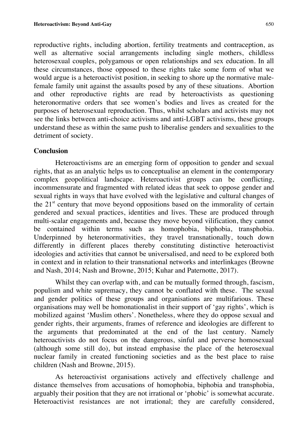reproductive rights, including abortion, fertility treatments and contraception, as well as alternative social arrangements including single mothers, childless heterosexual couples, polygamous or open relationships and sex education. In all these circumstances, those opposed to these rights take some form of what we would argue is a heteroactivist position, in seeking to shore up the normative malefemale family unit against the assaults posed by any of these situations. Abortion and other reproductive rights are read by heteroactivists as questioning heteronormative orders that see women's bodies and lives as created for the purposes of heterosexual reproduction. Thus, whilst scholars and activists may not see the links between anti-choice activisms and anti-LGBT activisms, these groups understand these as within the same push to liberalise genders and sexualities to the detriment of society.

# **Conclusion**

Heteroactivisms are an emerging form of opposition to gender and sexual rights, that as an analytic helps us to conceptualise an element in the contemporary complex geopolitical landscape. Heteroactivist groups can be conflicting, incommensurate and fragmented with related ideas that seek to oppose gender and sexual rights in ways that have evolved with the legislative and cultural changes of the  $21<sup>st</sup>$  century that move beyond oppositions based on the immorality of certain gendered and sexual practices, identities and lives. These are produced through multi-scalar engagements and, because they move beyond vilification, they cannot be contained within terms such as homophobia, biphobia, transphobia. Underpinned by heteronormativities, they travel transnationally, touch down differently in different places thereby constituting distinctive heteroactivist ideologies and activities that cannot be universalised, and need to be explored both in context and in relation to their transnational networks and interlinkages (Browne and Nash, 2014; Nash and Browne, 2015; Kuhar and Paternotte, 2017).

Whilst they can overlap with, and can be mutually formed through, fascism, populism and white supremacy, they cannot be conflated with these. The sexual and gender politics of these groups and organisations are multifarious. These organisations may well be homonationalist in their support of 'gay rights', which is mobilized against 'Muslim others'. Nonetheless, where they do oppose sexual and gender rights, their arguments, frames of reference and ideologies are different to the arguments that predominated at the end of the last century. Namely heteroactivists do not focus on the dangerous, sinful and perverse homosexual (although some still do), but instead emphasise the place of the heterosexual nuclear family in created functioning societies and as the best place to raise children (Nash and Browne, 2015).

As heteroactivist organisations actively and effectively challenge and distance themselves from accusations of homophobia, biphobia and transphobia, arguably their position that they are not irrational or 'phobic' is somewhat accurate. Heteroactivist resistances are not irrational; they are carefully considered,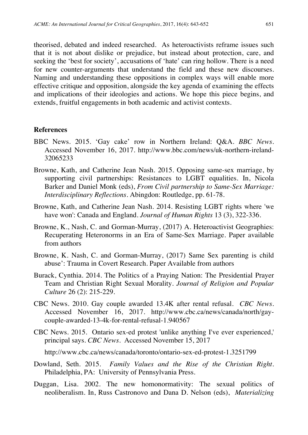theorised, debated and indeed researched. As heteroactivists reframe issues such that it is not about dislike or prejudice, but instead about protection, care, and seeking the 'best for society', accusations of 'hate' can ring hollow. There is a need for new counter-arguments that understand the field and these new discourses. Naming and understanding these oppositions in complex ways will enable more effective critique and opposition, alongside the key agenda of examining the effects and implications of their ideologies and actions. We hope this piece begins, and extends, fruitful engagements in both academic and activist contexts.

#### **References**

- BBC News. 2015. 'Gay cake' row in Northern Ireland: Q&A. *BBC News*. Accessed November 16, 2017. http://www.bbc.com/news/uk-northern-ireland-32065233
- Browne, Kath, and Catherine Jean Nash. 2015. Opposing same-sex marriage, by supporting civil partnerships: Resistances to LGBT equalities. In, Nicola Barker and Daniel Monk (eds), *From Civil partnership to Same-Sex Marriage: Interdisciplinary Reflections*. Abingdon: Routledge, pp. 61-78.
- Browne, Kath, and Catherine Jean Nash. 2014. Resisting LGBT rights where 'we have won': Canada and England. *Journal of Human Rights* 13 (3), 322-336.
- Browne, K., Nash, C. and Gorman-Murray, (2017) A. Heteroactivist Geographies: Recuperating Heteronorms in an Era of Same-Sex Marriage. Paper available from authors
- Browne, K. Nash, C. and Gorman-Murray, (2017) Same Sex parenting is child abuse': Trauma in Covert Research. Paper Available from authors
- Burack, Cynthia. 2014. The Politics of a Praying Nation: The Presidential Prayer Team and Christian Right Sexual Morality. *Journal of Religion and Popular Culture* 26 (2): 215-229.
- CBC News. 2010. Gay couple awarded 13.4K after rental refusal. *CBC News.*  Accessed November 16, 2017. http://www.cbc.ca/news/canada/north/gaycouple-awarded-13-4k-for-rental-refusal-1.940567
- CBC News. 2015. Ontario sex-ed protest 'unlike anything I've ever experienced,' principal says. *CBC News.* Accessed November 15, 2017

http://www.cbc.ca/news/canada/toronto/ontario-sex-ed-protest-1.3251799

- Dowland, Seth. 2015. *Family Values and the Rise of the Christian Right.*  Philadelphia, PA: University of Pennsylvania Press.
- Duggan, Lisa. 2002. The new homonormativity: The sexual politics of neoliberalism. In, Russ Castronovo and Dana D. Nelson (eds), *Materializing*